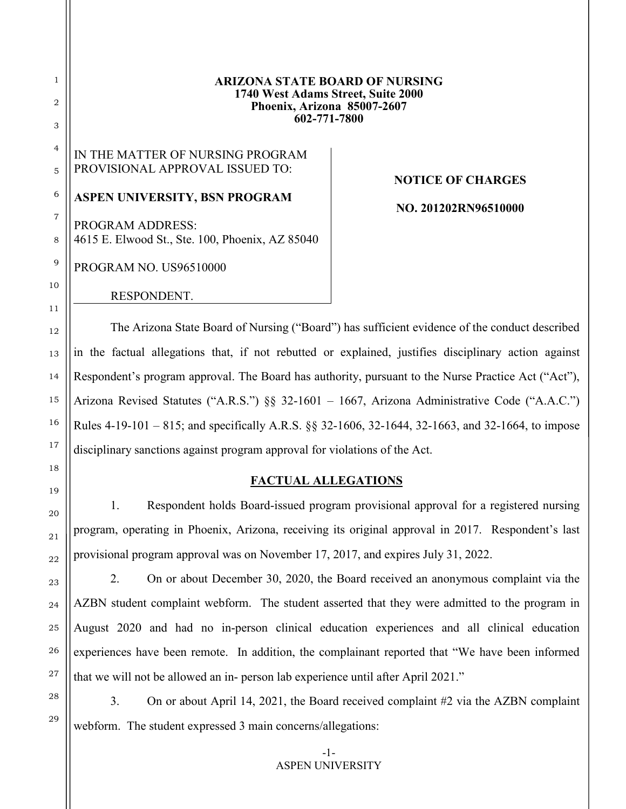#### **ARIZONA STATE BOARD OF NURSING 1740 West Adams Street, Suite 2000 Phoenix, Arizona 85007-2607 602-771-7800**

# IN THE MATTER OF NURSING PROGRAM PROVISIONAL APPROVAL ISSUED TO:

## **ASPEN UNIVERSITY, BSN PROGRAM**

PROGRAM ADDRESS: 4615 E. Elwood St., Ste. 100, Phoenix, AZ 85040

PROGRAM NO. US96510000

1

2

3

4

5

6

7

8

9

10

11

12

13

14

15

16

17

18

19

20

21

22

23

24

25

26

27

28

29

RESPONDENT.

# **NOTICE OF CHARGES**

**NO. 201202RN96510000**

The Arizona State Board of Nursing ("Board") has sufficient evidence of the conduct described in the factual allegations that, if not rebutted or explained, justifies disciplinary action against Respondent's program approval. The Board has authority, pursuant to the Nurse Practice Act ("Act"), Arizona Revised Statutes ("A.R.S.") §§ 32-1601 – 1667, Arizona Administrative Code ("A.A.C.") Rules 4-19-101 – 815; and specifically A.R.S. §§ 32-1606, 32-1644, 32-1663, and 32-1664, to impose disciplinary sanctions against program approval for violations of the Act.

## **FACTUAL ALLEGATIONS**

1. Respondent holds Board-issued program provisional approval for a registered nursing program, operating in Phoenix, Arizona, receiving its original approval in 2017. Respondent's last provisional program approval was on November 17, 2017, and expires July 31, 2022.

2. On or about December 30, 2020, the Board received an anonymous complaint via the AZBN student complaint webform. The student asserted that they were admitted to the program in August 2020 and had no in-person clinical education experiences and all clinical education experiences have been remote. In addition, the complainant reported that "We have been informed that we will not be allowed an in- person lab experience until after April 2021."

3. On or about April 14, 2021, the Board received complaint #2 via the AZBN complaint webform. The student expressed 3 main concerns/allegations: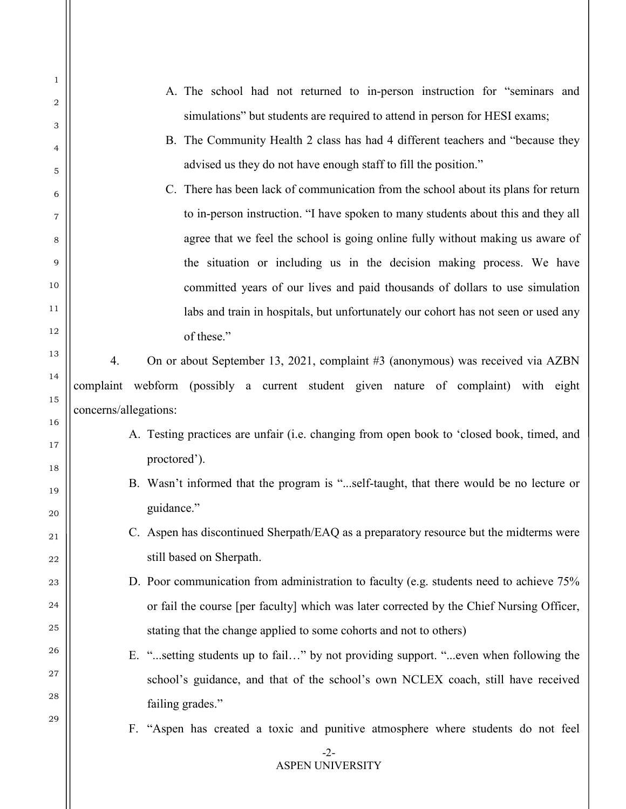| 1              | A. The school had not returned to in-person instruction for "seminars and                 |
|----------------|-------------------------------------------------------------------------------------------|
| $\overline{2}$ | simulations" but students are required to attend in person for HESI exams;                |
| 3              | B. The Community Health 2 class has had 4 different teachers and "because they            |
| 4              |                                                                                           |
| 5              | advised us they do not have enough staff to fill the position."                           |
| 6              | C. There has been lack of communication from the school about its plans for return        |
| 7              | to in-person instruction. "I have spoken to many students about this and they all         |
| 8              | agree that we feel the school is going online fully without making us aware of            |
| 9              | the situation or including us in the decision making process. We have                     |
| 10             | committed years of our lives and paid thousands of dollars to use simulation              |
| 11             | labs and train in hospitals, but unfortunately our cohort has not seen or used any        |
| 12             | of these."                                                                                |
| 13             | 4.<br>On or about September 13, 2021, complaint #3 (anonymous) was received via AZBN      |
| 14             | webform (possibly a current student given nature of complaint) with eight<br>complaint    |
| 15             | concerns/allegations:                                                                     |
| 16             | A. Testing practices are unfair (i.e. changing from open book to 'closed book, timed, and |
| 17             | proctored').                                                                              |
| 18             |                                                                                           |
| 19             | B. Wasn't informed that the program is "self-taught, that there would be no lecture or    |
| 20             | guidance."                                                                                |
| 21             | C. Aspen has discontinued Sherpath/EAQ as a preparatory resource but the midterms were    |
| 22             | still based on Sherpath.                                                                  |
| 23             | D. Poor communication from administration to faculty (e.g. students need to achieve 75%   |
| 24             | or fail the course [per faculty] which was later corrected by the Chief Nursing Officer,  |
| 25             | stating that the change applied to some cohorts and not to others)                        |
| 26             | E. "setting students up to fail" by not providing support. "even when following the       |
| 27             | school's guidance, and that of the school's own NCLEX coach, still have received          |
| 28             | failing grades."                                                                          |
| 29             | F. "Aspen has created a toxic and punitive atmosphere where students do not feel          |
|                | $-2-$                                                                                     |
|                | <b>ASPEN UNIVERSITY</b>                                                                   |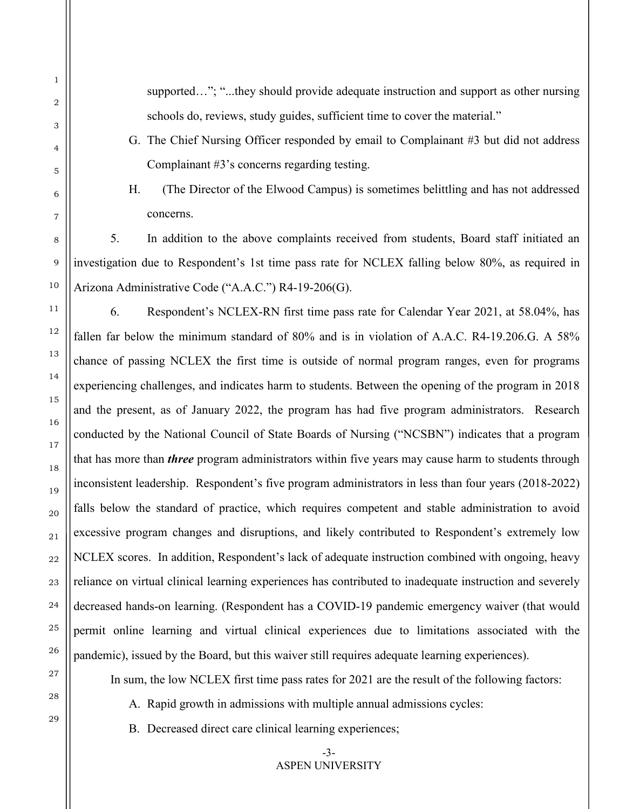supported…"; "...they should provide adequate instruction and support as other nursing schools do, reviews, study guides, sufficient time to cover the material."

- G. The Chief Nursing Officer responded by email to Complainant #3 but did not address Complainant #3's concerns regarding testing.
- 

H. (The Director of the Elwood Campus) is sometimes belittling and has not addressed concerns.

5. In addition to the above complaints received from students, Board staff initiated an investigation due to Respondent's 1st time pass rate for NCLEX falling below 80%, as required in Arizona Administrative Code ("A.A.C.") R4-19-206(G).

6. Respondent's NCLEX-RN first time pass rate for Calendar Year 2021, at 58.04%, has fallen far below the minimum standard of 80% and is in violation of A.A.C. R4-19.206.G. A 58% chance of passing NCLEX the first time is outside of normal program ranges, even for programs experiencing challenges, and indicates harm to students. Between the opening of the program in 2018 and the present, as of January 2022, the program has had five program administrators. Research conducted by the National Council of State Boards of Nursing ("NCSBN") indicates that a program that has more than *three* program administrators within five years may cause harm to students through inconsistent leadership. Respondent's five program administrators in less than four years (2018-2022) falls below the standard of practice, which requires competent and stable administration to avoid excessive program changes and disruptions, and likely contributed to Respondent's extremely low NCLEX scores. In addition, Respondent's lack of adequate instruction combined with ongoing, heavy reliance on virtual clinical learning experiences has contributed to inadequate instruction and severely decreased hands-on learning. (Respondent has a COVID-19 pandemic emergency waiver (that would permit online learning and virtual clinical experiences due to limitations associated with the pandemic), issued by the Board, but this waiver still requires adequate learning experiences).

In sum, the low NCLEX first time pass rates for 2021 are the result of the following factors:

A. Rapid growth in admissions with multiple annual admissions cycles:

B. Decreased direct care clinical learning experiences;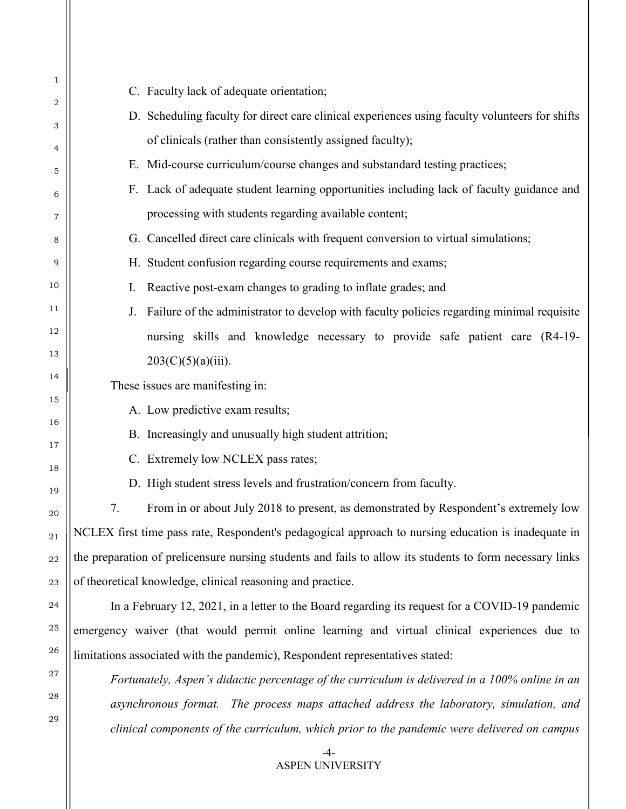| 1        | C. Faculty lack of adequate orientation;                                                                 |
|----------|----------------------------------------------------------------------------------------------------------|
| 2        | D. Scheduling faculty for direct care clinical experiences using faculty volunteers for shifts           |
| 3        | of clinicals (rather than consistently assigned faculty);                                                |
| 4<br>5   | E. Mid-course curriculum/course changes and substandard testing practices;                               |
| 6        | F. Lack of adequate student learning opportunities including lack of faculty guidance and                |
| 7        | processing with students regarding available content;                                                    |
| 8        | G. Cancelled direct care clinicals with frequent conversion to virtual simulations;                      |
| 9        | H. Student confusion regarding course requirements and exams;                                            |
| 10       | Reactive post-exam changes to grading to inflate grades; and<br>I.                                       |
| 11       | Failure of the administrator to develop with faculty policies regarding minimal requisite<br>J.          |
| 12       | nursing skills and knowledge necessary to provide safe patient care (R4-19-                              |
| 13       | $203(C)(5)(a)(iii)$ .                                                                                    |
| 14       | These issues are manifesting in:                                                                         |
| 15       | A. Low predictive exam results;                                                                          |
| 16       | B. Increasingly and unusually high student attrition;                                                    |
| 17       | C. Extremely low NCLEX pass rates;                                                                       |
| 18       | D. High student stress levels and frustration/concern from faculty.                                      |
| 19       | 7.<br>From in or about July 2018 to present, as demonstrated by Respondent's extremely low               |
| 20<br>21 | NCLEX first time pass rate, Respondent's pedagogical approach to nursing education is inadequate in      |
| 22       | the preparation of prelicensure nursing students and fails to allow its students to form necessary links |
| 23       | of theoretical knowledge, clinical reasoning and practice.                                               |
| 24       | In a February 12, 2021, in a letter to the Board regarding its request for a COVID-19 pandemic           |
| 25       | emergency waiver (that would permit online learning and virtual clinical experiences due to              |
| 26       | limitations associated with the pandemic), Respondent representatives stated:                            |
| 27       | Fortunately, Aspen's didactic percentage of the curriculum is delivered in a 100% online in an           |
| 28       | asynchronous format. The process maps attached address the laboratory, simulation, and                   |
| 29       | clinical components of the curriculum, which prior to the pandemic were delivered on campus              |
|          |                                                                                                          |

-4- ASPEN UNIVERSITY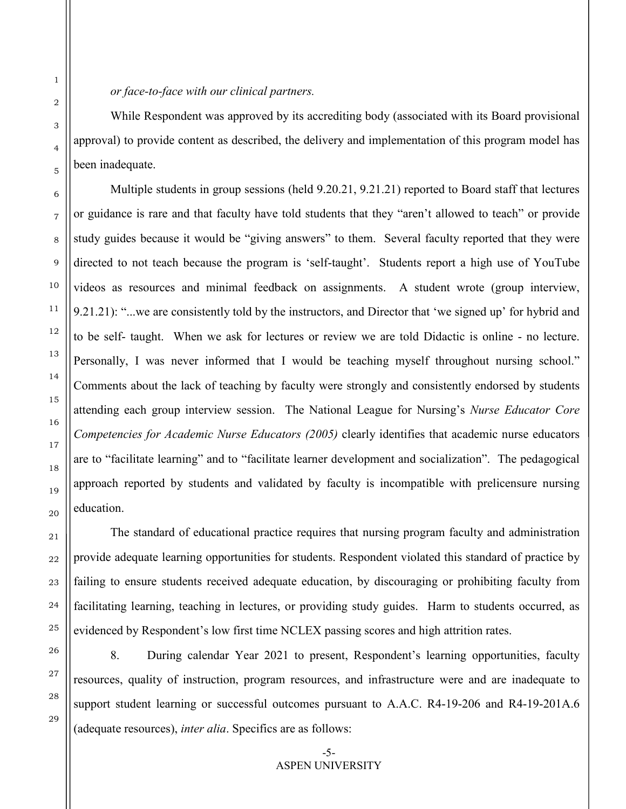While Respondent was approved by its accrediting body (associated with its Board provisional approval) to provide content as described, the delivery and implementation of this program model has been inadequate.

Multiple students in group sessions (held 9.20.21, 9.21.21) reported to Board staff that lectures or guidance is rare and that faculty have told students that they "aren't allowed to teach" or provide study guides because it would be "giving answers" to them. Several faculty reported that they were directed to not teach because the program is 'self-taught'. Students report a high use of YouTube videos as resources and minimal feedback on assignments. A student wrote (group interview, 9.21.21): "...we are consistently told by the instructors, and Director that 'we signed up' for hybrid and to be self- taught. When we ask for lectures or review we are told Didactic is online - no lecture. Personally, I was never informed that I would be teaching myself throughout nursing school." Comments about the lack of teaching by faculty were strongly and consistently endorsed by students attending each group interview session. The National League for Nursing's *Nurse Educator Core Competencies for Academic Nurse Educators (2005)* clearly identifies that academic nurse educators are to "facilitate learning" and to "facilitate learner development and socialization". The pedagogical approach reported by students and validated by faculty is incompatible with prelicensure nursing education.

The standard of educational practice requires that nursing program faculty and administration provide adequate learning opportunities for students. Respondent violated this standard of practice by failing to ensure students received adequate education, by discouraging or prohibiting faculty from facilitating learning, teaching in lectures, or providing study guides. Harm to students occurred, as evidenced by Respondent's low first time NCLEX passing scores and high attrition rates.

8. During calendar Year 2021 to present, Respondent's learning opportunities, faculty resources, quality of instruction, program resources, and infrastructure were and are inadequate to support student learning or successful outcomes pursuant to A.A.C. R4-19-206 and R4-19-201A.6 (adequate resources), *inter alia*. Specifics are as follows:

1

2

3

4

5

6

7

8

9

10

11

12

13

14

15

16

17

18

19

20

21

22

23

24

25

26

27

28

29

### -5- ASPEN UNIVERSITY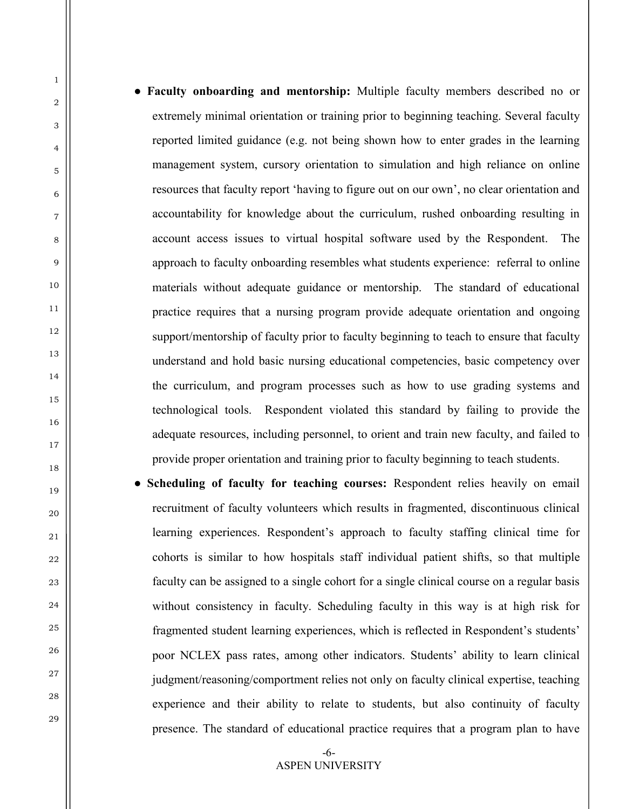- **Faculty onboarding and mentorship:** Multiple faculty members described no or extremely minimal orientation or training prior to beginning teaching. Several faculty reported limited guidance (e.g. not being shown how to enter grades in the learning management system, cursory orientation to simulation and high reliance on online resources that faculty report 'having to figure out on our own', no clear orientation and accountability for knowledge about the curriculum, rushed onboarding resulting in account access issues to virtual hospital software used by the Respondent. The approach to faculty onboarding resembles what students experience: referral to online materials without adequate guidance or mentorship. The standard of educational practice requires that a nursing program provide adequate orientation and ongoing support/mentorship of faculty prior to faculty beginning to teach to ensure that faculty understand and hold basic nursing educational competencies, basic competency over the curriculum, and program processes such as how to use grading systems and technological tools. Respondent violated this standard by failing to provide the adequate resources, including personnel, to orient and train new faculty, and failed to provide proper orientation and training prior to faculty beginning to teach students.
- **Scheduling of faculty for teaching courses:** Respondent relies heavily on email recruitment of faculty volunteers which results in fragmented, discontinuous clinical learning experiences. Respondent's approach to faculty staffing clinical time for cohorts is similar to how hospitals staff individual patient shifts, so that multiple faculty can be assigned to a single cohort for a single clinical course on a regular basis without consistency in faculty. Scheduling faculty in this way is at high risk for fragmented student learning experiences, which is reflected in Respondent's students' poor NCLEX pass rates, among other indicators. Students' ability to learn clinical judgment/reasoning/comportment relies not only on faculty clinical expertise, teaching experience and their ability to relate to students, but also continuity of faculty presence. The standard of educational practice requires that a program plan to have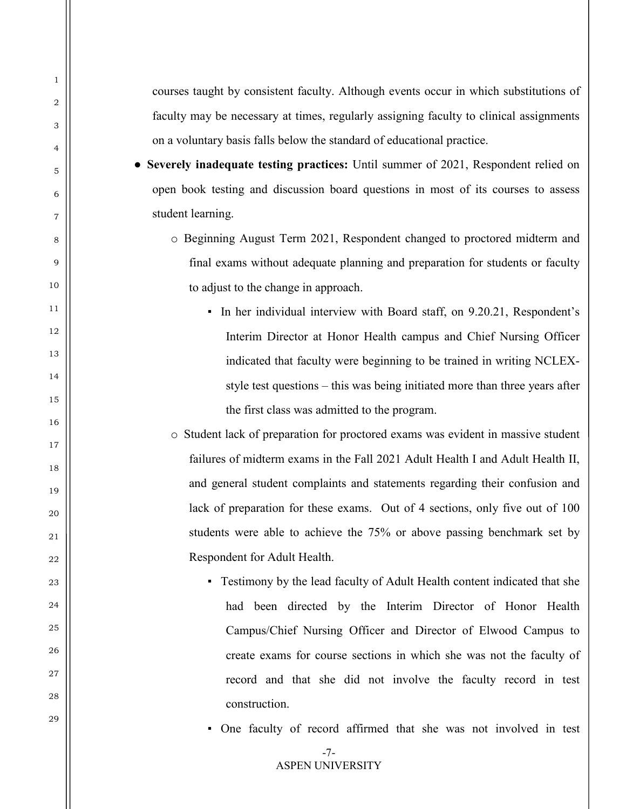courses taught by consistent faculty. Although events occur in which substitutions of faculty may be necessary at times, regularly assigning faculty to clinical assignments on a voluntary basis falls below the standard of educational practice.

1

 $\overline{2}$ 

3

4

5

6

7

8

9

 $1<sub>0</sub>$ 

11

12

13

14

15

16

17

18

19

20

21

22

23

 $24$ 

25

26

27

28

29

● **Severely inadequate testing practices:** Until summer of 2021, Respondent relied on open book testing and discussion board questions in most of its courses to assess student learning.

- o Beginning August Term 2021, Respondent changed to proctored midterm and final exams without adequate planning and preparation for students or faculty to adjust to the change in approach.
	- In her individual interview with Board staff, on 9.20.21, Respondent's Interim Director at Honor Health campus and Chief Nursing Officer indicated that faculty were beginning to be trained in writing NCLEXstyle test questions – this was being initiated more than three years after the first class was admitted to the program.

o Student lack of preparation for proctored exams was evident in massive student failures of midterm exams in the Fall 2021 Adult Health I and Adult Health II, and general student complaints and statements regarding their confusion and lack of preparation for these exams. Out of 4 sections, only five out of 100 students were able to achieve the 75% or above passing benchmark set by Respondent for Adult Health.

▪ Testimony by the lead faculty of Adult Health content indicated that she had been directed by the Interim Director of Honor Health Campus/Chief Nursing Officer and Director of Elwood Campus to create exams for course sections in which she was not the faculty of record and that she did not involve the faculty record in test construction.

▪ One faculty of record affirmed that she was not involved in test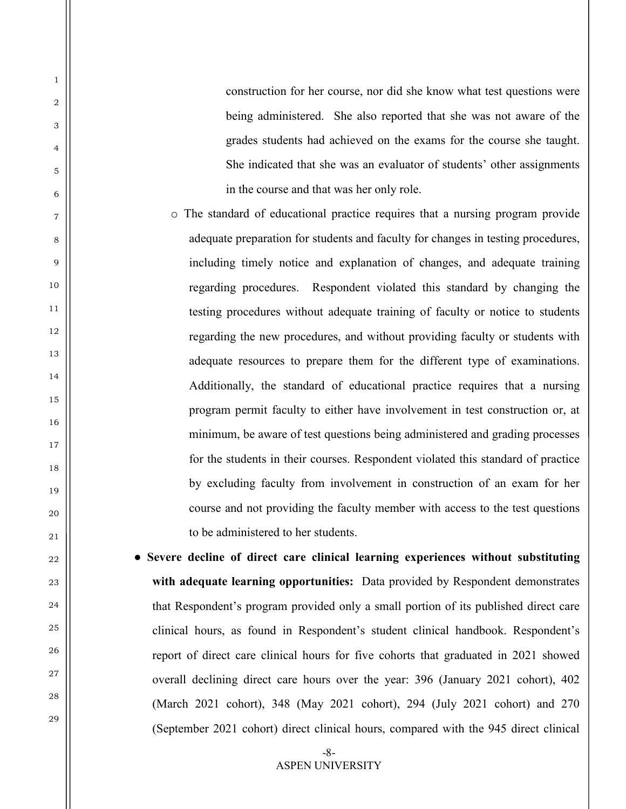construction for her course, nor did she know what test questions were being administered. She also reported that she was not aware of the grades students had achieved on the exams for the course she taught. She indicated that she was an evaluator of students' other assignments in the course and that was her only role.

1

2

3

4

5

6

7

8

9

 $1<sub>0</sub>$ 

11

12

13

14

15

16

17

18

19

20

21

22

23

 $24$ 

25

26

27

28

29

- o The standard of educational practice requires that a nursing program provide adequate preparation for students and faculty for changes in testing procedures, including timely notice and explanation of changes, and adequate training regarding procedures. Respondent violated this standard by changing the testing procedures without adequate training of faculty or notice to students regarding the new procedures, and without providing faculty or students with adequate resources to prepare them for the different type of examinations. Additionally, the standard of educational practice requires that a nursing program permit faculty to either have involvement in test construction or, at minimum, be aware of test questions being administered and grading processes for the students in their courses. Respondent violated this standard of practice by excluding faculty from involvement in construction of an exam for her course and not providing the faculty member with access to the test questions to be administered to her students.
- **Severe decline of direct care clinical learning experiences without substituting with adequate learning opportunities:** Data provided by Respondent demonstrates that Respondent's program provided only a small portion of its published direct care clinical hours, as found in Respondent's student clinical handbook. Respondent's report of direct care clinical hours for five cohorts that graduated in 2021 showed overall declining direct care hours over the year: 396 (January 2021 cohort), 402 (March 2021 cohort), 348 (May 2021 cohort), 294 (July 2021 cohort) and 270 (September 2021 cohort) direct clinical hours, compared with the 945 direct clinical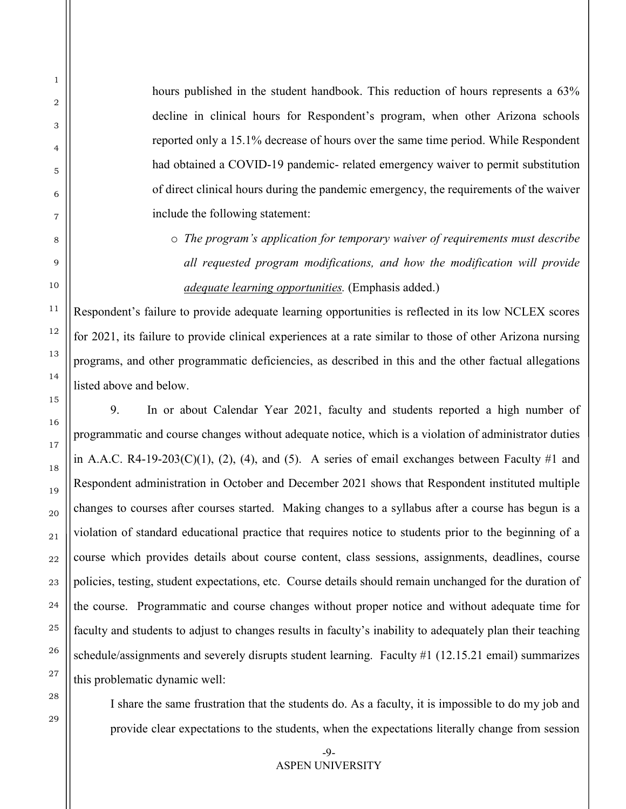hours published in the student handbook. This reduction of hours represents a  $63\%$ decline in clinical hours for Respondent's program, when other Arizona schools reported only a 15.1% decrease of hours over the same time period. While Respondent had obtained a COVID-19 pandemic- related emergency waiver to permit substitution of direct clinical hours during the pandemic emergency, the requirements of the waiver include the following statement:

o *The program's application for temporary waiver of requirements must describe all requested program modifications, and how the modification will provide adequate learning opportunities.* (Emphasis added.)

Respondent's failure to provide adequate learning opportunities is reflected in its low NCLEX scores for 2021, its failure to provide clinical experiences at a rate similar to those of other Arizona nursing programs, and other programmatic deficiencies, as described in this and the other factual allegations listed above and below.

9. In or about Calendar Year 2021, faculty and students reported a high number of programmatic and course changes without adequate notice, which is a violation of administrator duties in A.A.C. R4-19-203(C)(1), (2), (4), and (5). A series of email exchanges between Faculty #1 and Respondent administration in October and December 2021 shows that Respondent instituted multiple changes to courses after courses started. Making changes to a syllabus after a course has begun is a violation of standard educational practice that requires notice to students prior to the beginning of a course which provides details about course content, class sessions, assignments, deadlines, course policies, testing, student expectations, etc. Course details should remain unchanged for the duration of the course. Programmatic and course changes without proper notice and without adequate time for faculty and students to adjust to changes results in faculty's inability to adequately plan their teaching schedule/assignments and severely disrupts student learning. Faculty #1 (12.15.21 email) summarizes this problematic dynamic well:

28 29

1

2

3

4

5

6

7

8

9

10

11

12

13

14

15

16

17

18

19

20

21

22

23

24

25

26

27

I share the same frustration that the students do. As a faculty, it is impossible to do my job and provide clear expectations to the students, when the expectations literally change from session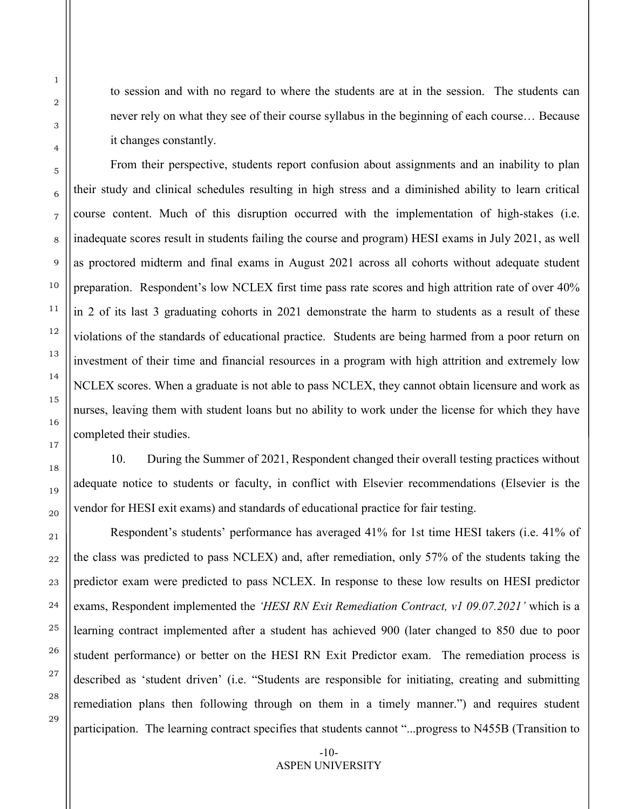to session and with no regard to where the students are at in the session. The students can never rely on what they see of their course syllabus in the beginning of each course… Because it changes constantly.

From their perspective, students report confusion about assignments and an inability to plan their study and clinical schedules resulting in high stress and a diminished ability to learn critical course content. Much of this disruption occurred with the implementation of high-stakes (i.e. inadequate scores result in students failing the course and program) HESI exams in July 2021, as well as proctored midterm and final exams in August 2021 across all cohorts without adequate student preparation. Respondent's low NCLEX first time pass rate scores and high attrition rate of over 40% in 2 of its last 3 graduating cohorts in 2021 demonstrate the harm to students as a result of these violations of the standards of educational practice. Students are being harmed from a poor return on investment of their time and financial resources in a program with high attrition and extremely low NCLEX scores. When a graduate is not able to pass NCLEX, they cannot obtain licensure and work as nurses, leaving them with student loans but no ability to work under the license for which they have completed their studies.

10. During the Summer of 2021, Respondent changed their overall testing practices without adequate notice to students or faculty, in conflict with Elsevier recommendations (Elsevier is the vendor for HESI exit exams) and standards of educational practice for fair testing.

Respondent's students' performance has averaged 41% for 1st time HESI takers (i.e. 41% of the class was predicted to pass NCLEX) and, after remediation, only 57% of the students taking the predictor exam were predicted to pass NCLEX. In response to these low results on HESI predictor exams, Respondent implemented the *'HESI RN Exit Remediation Contract, v1 09.07.2021'* which is a learning contract implemented after a student has achieved 900 (later changed to 850 due to poor student performance) or better on the HESI RN Exit Predictor exam. The remediation process is described as 'student driven' (i.e. "Students are responsible for initiating, creating and submitting remediation plans then following through on them in a timely manner.") and requires student participation. The learning contract specifies that students cannot "...progress to N455B (Transition to

> -10- ASPEN UNIVERSITY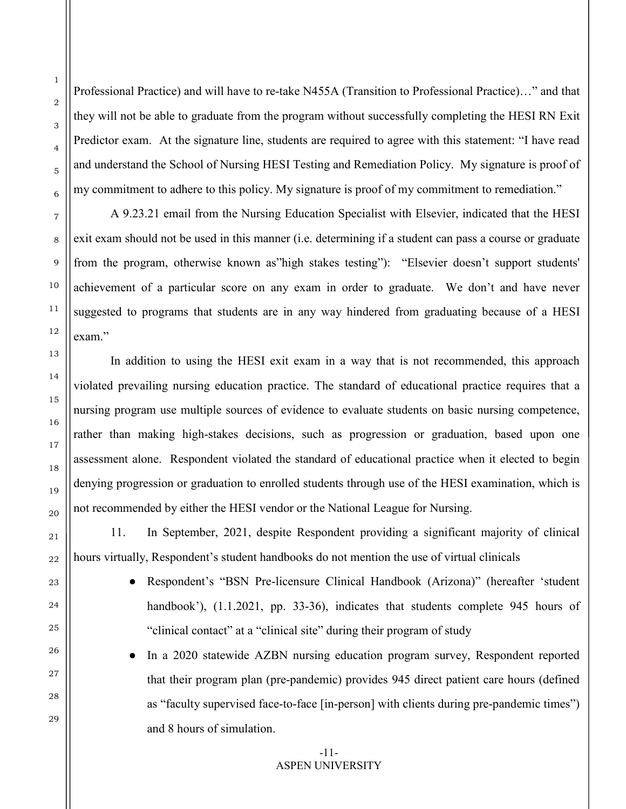Professional Practice) and will have to re-take N455A (Transition to Professional Practice)…" and that they will not be able to graduate from the program without successfully completing the HESI RN Exit Predictor exam. At the signature line, students are required to agree with this statement: "I have read and understand the School of Nursing HESI Testing and Remediation Policy. My signature is proof of my commitment to adhere to this policy. My signature is proof of my commitment to remediation."

A 9.23.21 email from the Nursing Education Specialist with Elsevier, indicated that the HESI exit exam should not be used in this manner (i.e. determining if a student can pass a course or graduate from the program, otherwise known as"high stakes testing"): "Elsevier doesn't support students' achievement of a particular score on any exam in order to graduate. We don't and have never suggested to programs that students are in any way hindered from graduating because of a HESI exam."

In addition to using the HESI exit exam in a way that is not recommended, this approach violated prevailing nursing education practice. The standard of educational practice requires that a nursing program use multiple sources of evidence to evaluate students on basic nursing competence, rather than making high-stakes decisions, such as progression or graduation, based upon one assessment alone. Respondent violated the standard of educational practice when it elected to begin denying progression or graduation to enrolled students through use of the HESI examination, which is not recommended by either the HESI vendor or the National League for Nursing.

11. In September, 2021, despite Respondent providing a significant majority of clinical hours virtually, Respondent's student handbooks do not mention the use of virtual clinicals

> ● Respondent's "BSN Pre-licensure Clinical Handbook (Arizona)" (hereafter 'student handbook'), (1.1.2021, pp. 33-36), indicates that students complete 945 hours of "clinical contact" at a "clinical site" during their program of study

> In a 2020 statewide AZBN nursing education program survey, Respondent reported that their program plan (pre-pandemic) provides 945 direct patient care hours (defined as "faculty supervised face-to-face [in-person] with clients during pre-pandemic times") and 8 hours of simulation.

### -11- ASPEN UNIVERSITY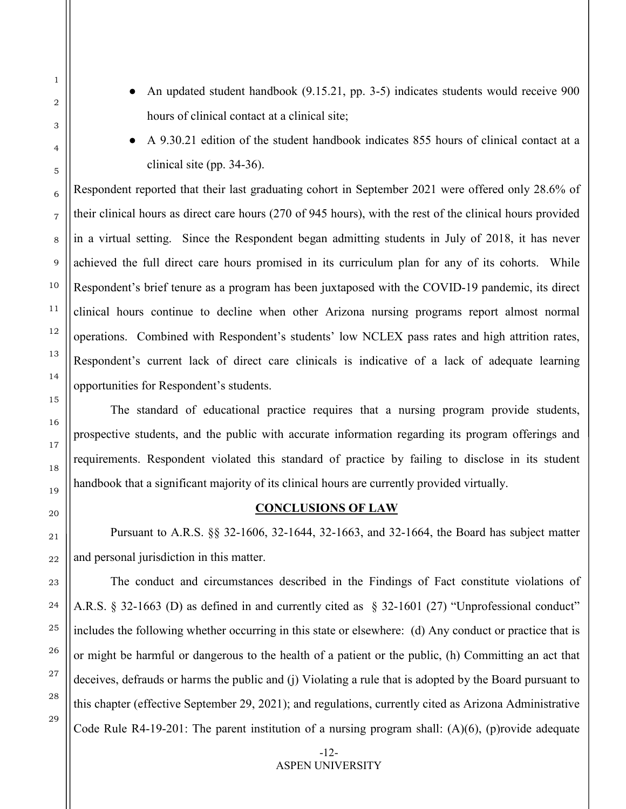- An updated student handbook (9.15.21, pp. 3-5) indicates students would receive 900 hours of clinical contact at a clinical site;
- A 9.30.21 edition of the student handbook indicates 855 hours of clinical contact at a clinical site (pp. 34-36).

Respondent reported that their last graduating cohort in September 2021 were offered only 28.6% of their clinical hours as direct care hours (270 of 945 hours), with the rest of the clinical hours provided in a virtual setting. Since the Respondent began admitting students in July of 2018, it has never achieved the full direct care hours promised in its curriculum plan for any of its cohorts. While Respondent's brief tenure as a program has been juxtaposed with the COVID-19 pandemic, its direct clinical hours continue to decline when other Arizona nursing programs report almost normal operations. Combined with Respondent's students' low NCLEX pass rates and high attrition rates, Respondent's current lack of direct care clinicals is indicative of a lack of adequate learning opportunities for Respondent's students.

The standard of educational practice requires that a nursing program provide students, prospective students, and the public with accurate information regarding its program offerings and requirements. Respondent violated this standard of practice by failing to disclose in its student handbook that a significant majority of its clinical hours are currently provided virtually.

### **CONCLUSIONS OF LAW**

Pursuant to A.R.S. §§ 32-1606, 32-1644, 32-1663, and 32-1664, the Board has subject matter and personal jurisdiction in this matter.

The conduct and circumstances described in the Findings of Fact constitute violations of A.R.S. § 32-1663 (D) as defined in and currently cited as § 32-1601 (27) "Unprofessional conduct" includes the following whether occurring in this state or elsewhere: (d) Any conduct or practice that is or might be harmful or dangerous to the health of a patient or the public, (h) Committing an act that deceives, defrauds or harms the public and (j) Violating a rule that is adopted by the Board pursuant to this chapter (effective September 29, 2021); and regulations, currently cited as Arizona Administrative Code Rule R4-19-201: The parent institution of a nursing program shall: (A)(6), (p)rovide adequate

1

2

3

4

5

6

7

8

9

-12- ASPEN UNIVERSITY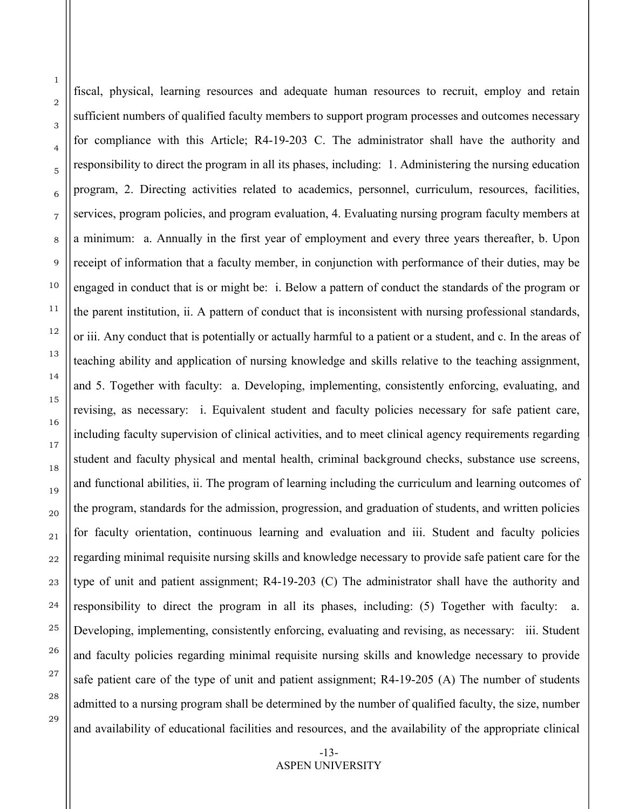fiscal, physical, learning resources and adequate human resources to recruit, employ and retain sufficient numbers of qualified faculty members to support program processes and outcomes necessary for compliance with this Article; R4-19-203 C. The administrator shall have the authority and responsibility to direct the program in all its phases, including: 1. Administering the nursing education program, 2. Directing activities related to academics, personnel, curriculum, resources, facilities, services, program policies, and program evaluation, 4. Evaluating nursing program faculty members at a minimum: a. Annually in the first year of employment and every three years thereafter, b. Upon receipt of information that a faculty member, in conjunction with performance of their duties, may be engaged in conduct that is or might be: i. Below a pattern of conduct the standards of the program or the parent institution, ii. A pattern of conduct that is inconsistent with nursing professional standards, or iii. Any conduct that is potentially or actually harmful to a patient or a student, and c. In the areas of teaching ability and application of nursing knowledge and skills relative to the teaching assignment, and 5. Together with faculty: a. Developing, implementing, consistently enforcing, evaluating, and revising, as necessary: i. Equivalent student and faculty policies necessary for safe patient care, including faculty supervision of clinical activities, and to meet clinical agency requirements regarding student and faculty physical and mental health, criminal background checks, substance use screens, and functional abilities, ii. The program of learning including the curriculum and learning outcomes of the program, standards for the admission, progression, and graduation of students, and written policies for faculty orientation, continuous learning and evaluation and iii. Student and faculty policies regarding minimal requisite nursing skills and knowledge necessary to provide safe patient care for the type of unit and patient assignment; R4-19-203 (C) The administrator shall have the authority and responsibility to direct the program in all its phases, including: (5) Together with faculty: a. Developing, implementing, consistently enforcing, evaluating and revising, as necessary: iii. Student and faculty policies regarding minimal requisite nursing skills and knowledge necessary to provide safe patient care of the type of unit and patient assignment; R4-19-205 (A) The number of students admitted to a nursing program shall be determined by the number of qualified faculty, the size, number and availability of educational facilities and resources, and the availability of the appropriate clinical

> -13- ASPEN UNIVERSITY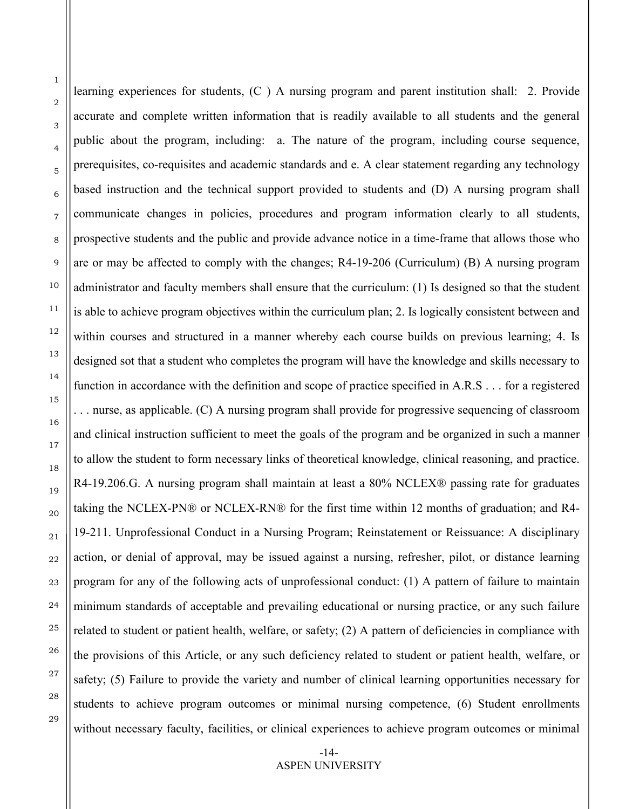learning experiences for students, (C ) A nursing program and parent institution shall: 2. Provide accurate and complete written information that is readily available to all students and the general public about the program, including: a. The nature of the program, including course sequence, prerequisites, co-requisites and academic standards and e. A clear statement regarding any technology based instruction and the technical support provided to students and (D) A nursing program shall communicate changes in policies, procedures and program information clearly to all students, prospective students and the public and provide advance notice in a time-frame that allows those who are or may be affected to comply with the changes; R4-19-206 (Curriculum) (B) A nursing program administrator and faculty members shall ensure that the curriculum: (1) Is designed so that the student is able to achieve program objectives within the curriculum plan; 2. Is logically consistent between and within courses and structured in a manner whereby each course builds on previous learning; 4. Is designed sot that a student who completes the program will have the knowledge and skills necessary to function in accordance with the definition and scope of practice specified in A.R.S . . . for a registered . . . nurse, as applicable. (C) A nursing program shall provide for progressive sequencing of classroom and clinical instruction sufficient to meet the goals of the program and be organized in such a manner to allow the student to form necessary links of theoretical knowledge, clinical reasoning, and practice. R4-19.206.G. A nursing program shall maintain at least a 80% NCLEX® passing rate for graduates taking the NCLEX-PN® or NCLEX-RN® for the first time within 12 months of graduation; and R4- 19-211. Unprofessional Conduct in a Nursing Program; Reinstatement or Reissuance: A disciplinary action, or denial of approval, may be issued against a nursing, refresher, pilot, or distance learning program for any of the following acts of unprofessional conduct: (1) A pattern of failure to maintain minimum standards of acceptable and prevailing educational or nursing practice, or any such failure related to student or patient health, welfare, or safety; (2) A pattern of deficiencies in compliance with the provisions of this Article, or any such deficiency related to student or patient health, welfare, or safety; (5) Failure to provide the variety and number of clinical learning opportunities necessary for students to achieve program outcomes or minimal nursing competence, (6) Student enrollments without necessary faculty, facilities, or clinical experiences to achieve program outcomes or minimal

> -14- ASPEN UNIVERSITY